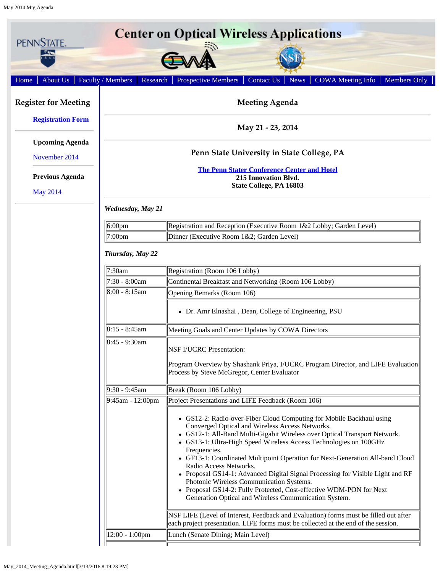<span id="page-0-0"></span>